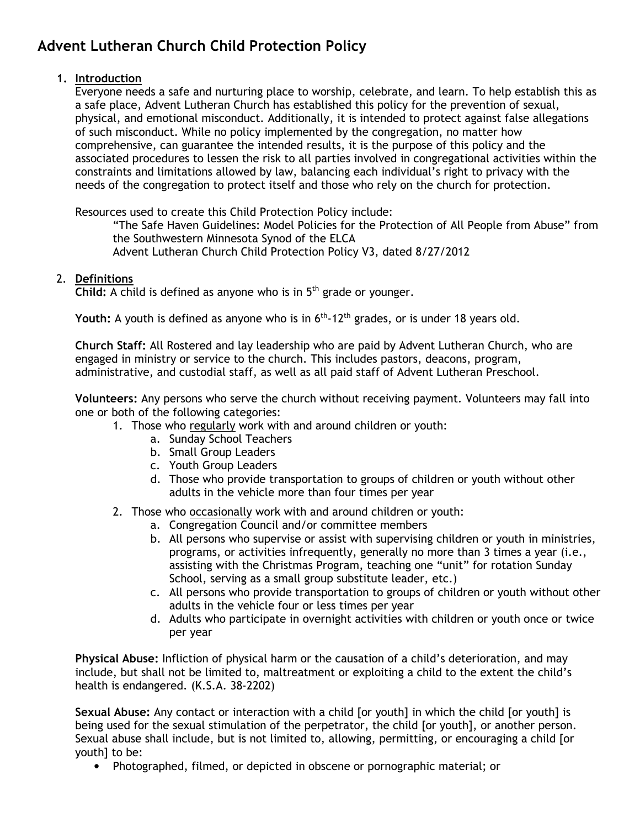# **Advent Lutheran Church Child Protection Policy**

#### **1. Introduction**

Everyone needs a safe and nurturing place to worship, celebrate, and learn. To help establish this as a safe place, Advent Lutheran Church has established this policy for the prevention of sexual, physical, and emotional misconduct. Additionally, it is intended to protect against false allegations of such misconduct. While no policy implemented by the congregation, no matter how comprehensive, can guarantee the intended results, it is the purpose of this policy and the associated procedures to lessen the risk to all parties involved in congregational activities within the constraints and limitations allowed by law, balancing each individual's right to privacy with the needs of the congregation to protect itself and those who rely on the church for protection.

Resources used to create this Child Protection Policy include:

"The Safe Haven Guidelines: Model Policies for the Protection of All People from Abuse" from the Southwestern Minnesota Synod of the ELCA

Advent Lutheran Church Child Protection Policy V3, dated 8/27/2012

### 2. **Definitions**

**Child:** A child is defined as anyone who is in 5<sup>th</sup> grade or younger.

Youth: A youth is defined as anyone who is in 6<sup>th</sup>-12<sup>th</sup> grades, or is under 18 years old.

**Church Staff:** All Rostered and lay leadership who are paid by Advent Lutheran Church, who are engaged in ministry or service to the church. This includes pastors, deacons, program, administrative, and custodial staff, as well as all paid staff of Advent Lutheran Preschool.

**Volunteers:** Any persons who serve the church without receiving payment. Volunteers may fall into one or both of the following categories:

- 1. Those who regularly work with and around children or youth:
	- a. Sunday School Teachers
	- b. Small Group Leaders
	- c. Youth Group Leaders
	- d. Those who provide transportation to groups of children or youth without other adults in the vehicle more than four times per year
- 2. Those who occasionally work with and around children or youth:
	- a. Congregation Council and/or committee members
	- b. All persons who supervise or assist with supervising children or youth in ministries, programs, or activities infrequently, generally no more than 3 times a year (i.e., assisting with the Christmas Program, teaching one "unit" for rotation Sunday School, serving as a small group substitute leader, etc.)
	- c. All persons who provide transportation to groups of children or youth without other adults in the vehicle four or less times per year
	- d. Adults who participate in overnight activities with children or youth once or twice per year

**Physical Abuse:** Infliction of physical harm or the causation of a child's deterioration, and may include, but shall not be limited to, maltreatment or exploiting a child to the extent the child's health is endangered. (K.S.A. 38-2202)

**Sexual Abuse:** Any contact or interaction with a child [or youth] in which the child [or youth] is being used for the sexual stimulation of the perpetrator, the child [or youth], or another person. Sexual abuse shall include, but is not limited to, allowing, permitting, or encouraging a child [or youth] to be:

• Photographed, filmed, or depicted in obscene or pornographic material; or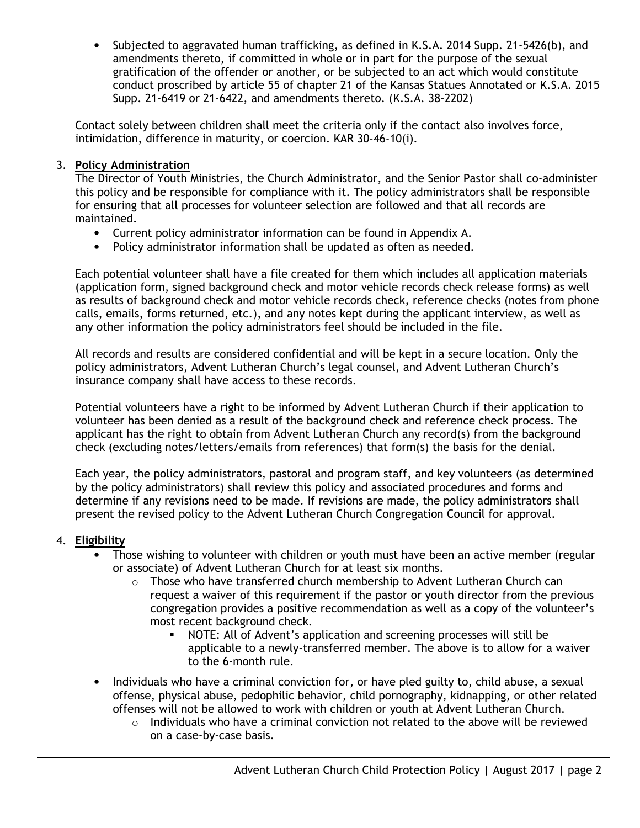• Subjected to aggravated human trafficking, as defined in K.S.A. 2014 Supp. 21-5426(b), and amendments thereto, if committed in whole or in part for the purpose of the sexual gratification of the offender or another, or be subjected to an act which would constitute conduct proscribed by article 55 of chapter 21 of the Kansas Statues Annotated or K.S.A. 2015 Supp. 21-6419 or 21-6422, and amendments thereto. (K.S.A. 38-2202)

Contact solely between children shall meet the criteria only if the contact also involves force, intimidation, difference in maturity, or coercion. KAR 30-46-10(i).

#### 3. **Policy Administration**

The Director of Youth Ministries, the Church Administrator, and the Senior Pastor shall co-administer this policy and be responsible for compliance with it. The policy administrators shall be responsible for ensuring that all processes for volunteer selection are followed and that all records are maintained.

- Current policy administrator information can be found in Appendix A.
- Policy administrator information shall be updated as often as needed.

Each potential volunteer shall have a file created for them which includes all application materials (application form, signed background check and motor vehicle records check release forms) as well as results of background check and motor vehicle records check, reference checks (notes from phone calls, emails, forms returned, etc.), and any notes kept during the applicant interview, as well as any other information the policy administrators feel should be included in the file.

All records and results are considered confidential and will be kept in a secure location. Only the policy administrators, Advent Lutheran Church's legal counsel, and Advent Lutheran Church's insurance company shall have access to these records.

Potential volunteers have a right to be informed by Advent Lutheran Church if their application to volunteer has been denied as a result of the background check and reference check process. The applicant has the right to obtain from Advent Lutheran Church any record(s) from the background check (excluding notes/letters/emails from references) that form(s) the basis for the denial.

Each year, the policy administrators, pastoral and program staff, and key volunteers (as determined by the policy administrators) shall review this policy and associated procedures and forms and determine if any revisions need to be made. If revisions are made, the policy administrators shall present the revised policy to the Advent Lutheran Church Congregation Council for approval.

#### 4. **Eligibility**

- Those wishing to volunteer with children or youth must have been an active member (regular or associate) of Advent Lutheran Church for at least six months.
	- $\circ$  Those who have transferred church membership to Advent Lutheran Church can request a waiver of this requirement if the pastor or youth director from the previous congregation provides a positive recommendation as well as a copy of the volunteer's most recent background check.
		- NOTE: All of Advent's application and screening processes will still be applicable to a newly-transferred member. The above is to allow for a waiver to the 6-month rule.
- Individuals who have a criminal conviction for, or have pled guilty to, child abuse, a sexual offense, physical abuse, pedophilic behavior, child pornography, kidnapping, or other related offenses will not be allowed to work with children or youth at Advent Lutheran Church.
	- $\circ$  Individuals who have a criminal conviction not related to the above will be reviewed on a case-by-case basis.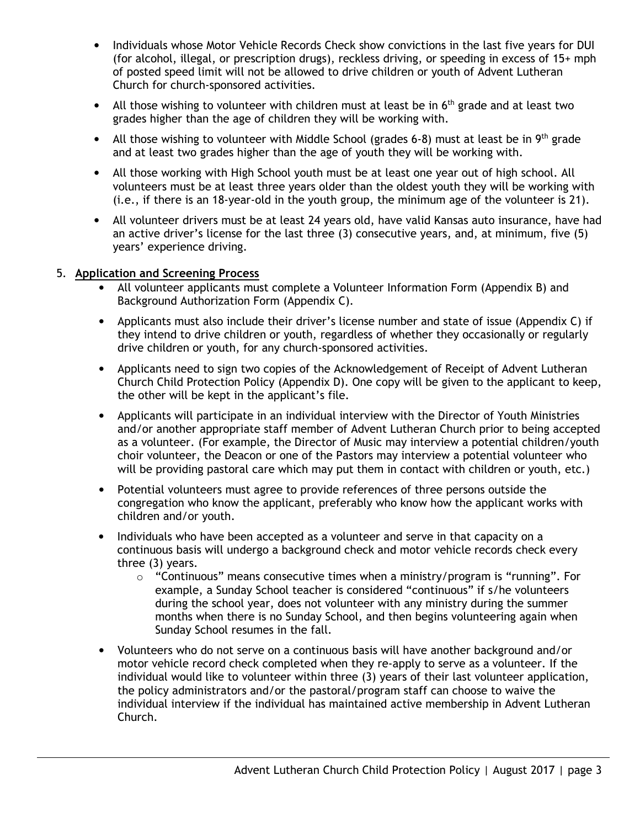- Individuals whose Motor Vehicle Records Check show convictions in the last five years for DUI (for alcohol, illegal, or prescription drugs), reckless driving, or speeding in excess of 15+ mph of posted speed limit will not be allowed to drive children or youth of Advent Lutheran Church for church-sponsored activities.
- All those wishing to volunteer with children must at least be in  $6<sup>th</sup>$  grade and at least two grades higher than the age of children they will be working with.
- All those wishing to volunteer with Middle School (grades 6-8) must at least be in 9<sup>th</sup> grade and at least two grades higher than the age of youth they will be working with.
- All those working with High School youth must be at least one year out of high school. All volunteers must be at least three years older than the oldest youth they will be working with (i.e., if there is an 18-year-old in the youth group, the minimum age of the volunteer is 21).
- All volunteer drivers must be at least 24 years old, have valid Kansas auto insurance, have had an active driver's license for the last three (3) consecutive years, and, at minimum, five (5) years' experience driving.

#### 5. **Application and Screening Process**

- All volunteer applicants must complete a Volunteer Information Form (Appendix B) and Background Authorization Form (Appendix C).
- Applicants must also include their driver's license number and state of issue (Appendix C) if they intend to drive children or youth, regardless of whether they occasionally or regularly drive children or youth, for any church-sponsored activities.
- Applicants need to sign two copies of the Acknowledgement of Receipt of Advent Lutheran Church Child Protection Policy (Appendix D). One copy will be given to the applicant to keep, the other will be kept in the applicant's file.
- Applicants will participate in an individual interview with the Director of Youth Ministries and/or another appropriate staff member of Advent Lutheran Church prior to being accepted as a volunteer. (For example, the Director of Music may interview a potential children/youth choir volunteer, the Deacon or one of the Pastors may interview a potential volunteer who will be providing pastoral care which may put them in contact with children or youth, etc.)
- Potential volunteers must agree to provide references of three persons outside the congregation who know the applicant, preferably who know how the applicant works with children and/or youth.
- Individuals who have been accepted as a volunteer and serve in that capacity on a continuous basis will undergo a background check and motor vehicle records check every three (3) years.
	- $\circ$  "Continuous" means consecutive times when a ministry/program is "running". For example, a Sunday School teacher is considered "continuous" if s/he volunteers during the school year, does not volunteer with any ministry during the summer months when there is no Sunday School, and then begins volunteering again when Sunday School resumes in the fall.
- Volunteers who do not serve on a continuous basis will have another background and/or motor vehicle record check completed when they re-apply to serve as a volunteer. If the individual would like to volunteer within three (3) years of their last volunteer application, the policy administrators and/or the pastoral/program staff can choose to waive the individual interview if the individual has maintained active membership in Advent Lutheran Church.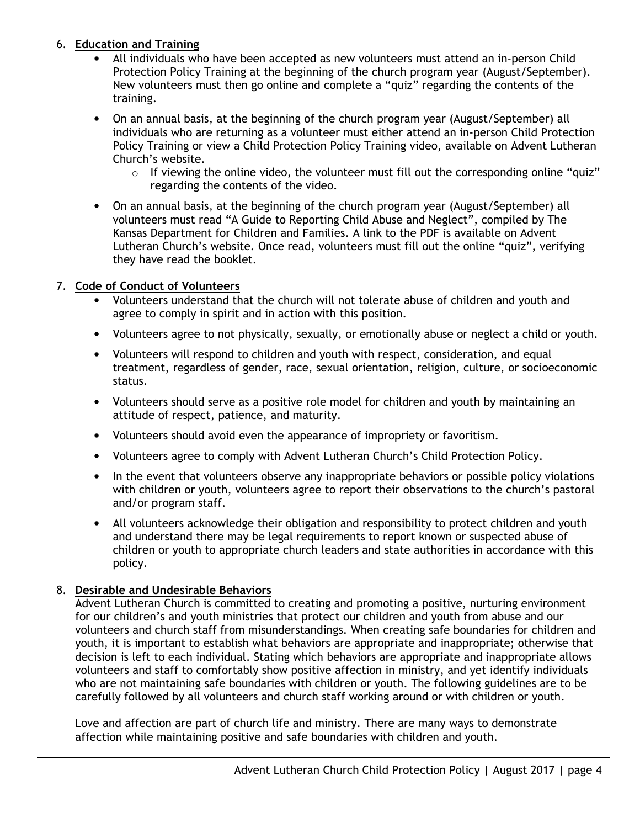#### 6. **Education and Training**

- All individuals who have been accepted as new volunteers must attend an in-person Child Protection Policy Training at the beginning of the church program year (August/September). New volunteers must then go online and complete a "quiz" regarding the contents of the training.
- On an annual basis, at the beginning of the church program year (August/September) all individuals who are returning as a volunteer must either attend an in-person Child Protection Policy Training or view a Child Protection Policy Training video, available on Advent Lutheran Church's website.
	- o If viewing the online video, the volunteer must fill out the corresponding online "quiz" regarding the contents of the video.
- On an annual basis, at the beginning of the church program year (August/September) all volunteers must read "A Guide to Reporting Child Abuse and Neglect", compiled by The Kansas Department for Children and Families. A link to the PDF is available on Advent Lutheran Church's website. Once read, volunteers must fill out the online "quiz", verifying they have read the booklet.

#### 7. **Code of Conduct of Volunteers**

- Volunteers understand that the church will not tolerate abuse of children and youth and agree to comply in spirit and in action with this position.
- Volunteers agree to not physically, sexually, or emotionally abuse or neglect a child or youth.
- Volunteers will respond to children and youth with respect, consideration, and equal treatment, regardless of gender, race, sexual orientation, religion, culture, or socioeconomic status.
- Volunteers should serve as a positive role model for children and youth by maintaining an attitude of respect, patience, and maturity.
- Volunteers should avoid even the appearance of impropriety or favoritism.
- Volunteers agree to comply with Advent Lutheran Church's Child Protection Policy.
- In the event that volunteers observe any inappropriate behaviors or possible policy violations with children or youth, volunteers agree to report their observations to the church's pastoral and/or program staff.
- All volunteers acknowledge their obligation and responsibility to protect children and youth and understand there may be legal requirements to report known or suspected abuse of children or youth to appropriate church leaders and state authorities in accordance with this policy.

#### 8. **Desirable and Undesirable Behaviors**

Advent Lutheran Church is committed to creating and promoting a positive, nurturing environment for our children's and youth ministries that protect our children and youth from abuse and our volunteers and church staff from misunderstandings. When creating safe boundaries for children and youth, it is important to establish what behaviors are appropriate and inappropriate; otherwise that decision is left to each individual. Stating which behaviors are appropriate and inappropriate allows volunteers and staff to comfortably show positive affection in ministry, and yet identify individuals who are not maintaining safe boundaries with children or youth. The following guidelines are to be carefully followed by all volunteers and church staff working around or with children or youth.

Love and affection are part of church life and ministry. There are many ways to demonstrate affection while maintaining positive and safe boundaries with children and youth.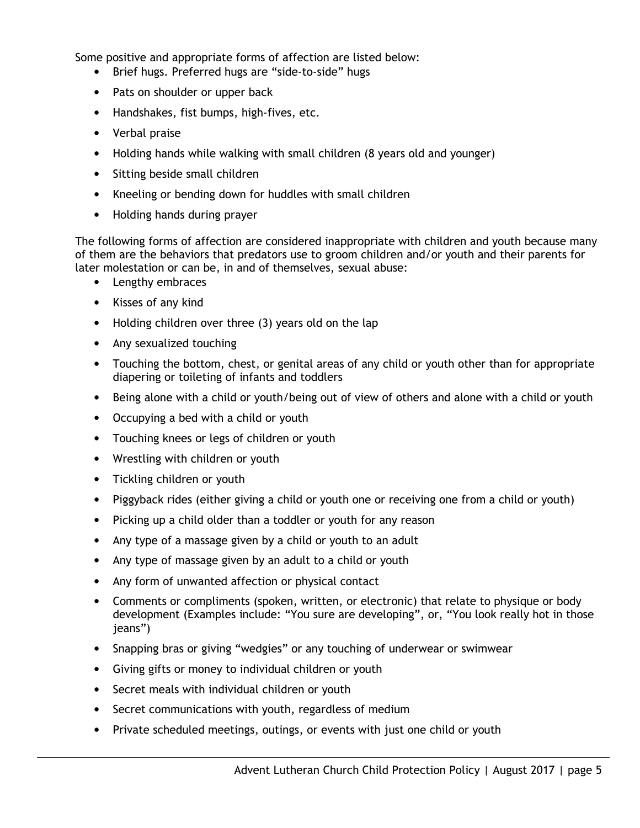Some positive and appropriate forms of affection are listed below:

- Brief hugs. Preferred hugs are "side-to-side" hugs
- Pats on shoulder or upper back
- Handshakes, fist bumps, high-fives, etc.
- Verbal praise
- Holding hands while walking with small children (8 years old and younger)
- Sitting beside small children
- Kneeling or bending down for huddles with small children
- Holding hands during prayer

The following forms of affection are considered inappropriate with children and youth because many of them are the behaviors that predators use to groom children and/or youth and their parents for later molestation or can be, in and of themselves, sexual abuse:

- Lengthy embraces
- Kisses of any kind
- Holding children over three (3) years old on the lap
- Any sexualized touching
- Touching the bottom, chest, or genital areas of any child or youth other than for appropriate diapering or toileting of infants and toddlers
- Being alone with a child or youth/being out of view of others and alone with a child or youth
- Occupying a bed with a child or youth
- Touching knees or legs of children or youth
- Wrestling with children or youth
- Tickling children or youth
- Piggyback rides (either giving a child or youth one or receiving one from a child or youth)
- Picking up a child older than a toddler or youth for any reason
- Any type of a massage given by a child or youth to an adult
- Any type of massage given by an adult to a child or youth
- Any form of unwanted affection or physical contact
- Comments or compliments (spoken, written, or electronic) that relate to physique or body development (Examples include: "You sure are developing", or, "You look really hot in those jeans")
- Snapping bras or giving "wedgies" or any touching of underwear or swimwear
- Giving gifts or money to individual children or youth
- Secret meals with individual children or youth
- Secret communications with youth, regardless of medium
- Private scheduled meetings, outings, or events with just one child or youth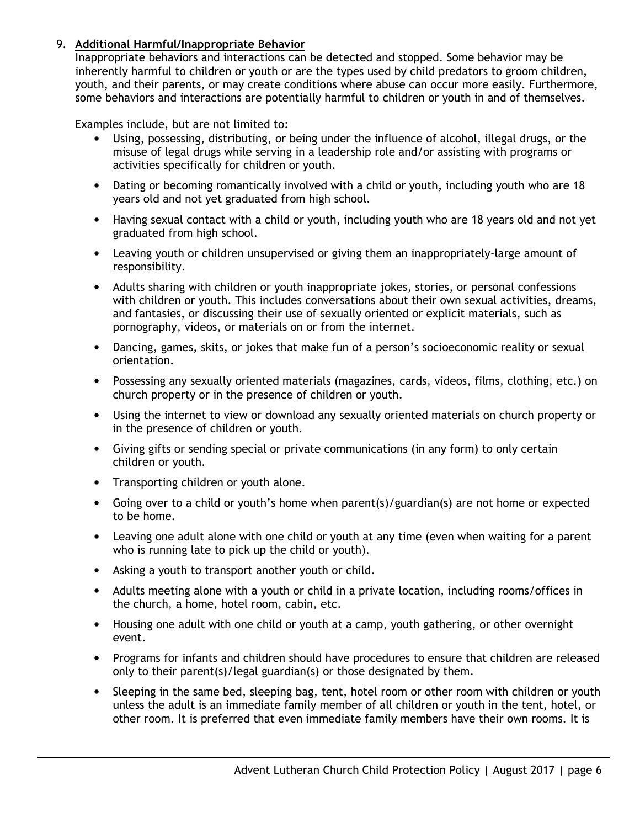#### 9. **Additional Harmful/Inappropriate Behavior**

Inappropriate behaviors and interactions can be detected and stopped. Some behavior may be inherently harmful to children or youth or are the types used by child predators to groom children, youth, and their parents, or may create conditions where abuse can occur more easily. Furthermore, some behaviors and interactions are potentially harmful to children or youth in and of themselves.

Examples include, but are not limited to:

- Using, possessing, distributing, or being under the influence of alcohol, illegal drugs, or the misuse of legal drugs while serving in a leadership role and/or assisting with programs or activities specifically for children or youth.
- Dating or becoming romantically involved with a child or youth, including youth who are 18 years old and not yet graduated from high school.
- Having sexual contact with a child or youth, including youth who are 18 years old and not yet graduated from high school.
- Leaving youth or children unsupervised or giving them an inappropriately-large amount of responsibility.
- Adults sharing with children or youth inappropriate jokes, stories, or personal confessions with children or youth. This includes conversations about their own sexual activities, dreams, and fantasies, or discussing their use of sexually oriented or explicit materials, such as pornography, videos, or materials on or from the internet.
- Dancing, games, skits, or jokes that make fun of a person's socioeconomic reality or sexual orientation.
- Possessing any sexually oriented materials (magazines, cards, videos, films, clothing, etc.) on church property or in the presence of children or youth.
- Using the internet to view or download any sexually oriented materials on church property or in the presence of children or youth.
- Giving gifts or sending special or private communications (in any form) to only certain children or youth.
- Transporting children or youth alone.
- Going over to a child or youth's home when parent(s)/guardian(s) are not home or expected to be home.
- Leaving one adult alone with one child or youth at any time (even when waiting for a parent who is running late to pick up the child or youth).
- Asking a youth to transport another youth or child.
- Adults meeting alone with a youth or child in a private location, including rooms/offices in the church, a home, hotel room, cabin, etc.
- Housing one adult with one child or youth at a camp, youth gathering, or other overnight event.
- Programs for infants and children should have procedures to ensure that children are released only to their parent(s)/legal guardian(s) or those designated by them.
- Sleeping in the same bed, sleeping bag, tent, hotel room or other room with children or youth unless the adult is an immediate family member of all children or youth in the tent, hotel, or other room. It is preferred that even immediate family members have their own rooms. It is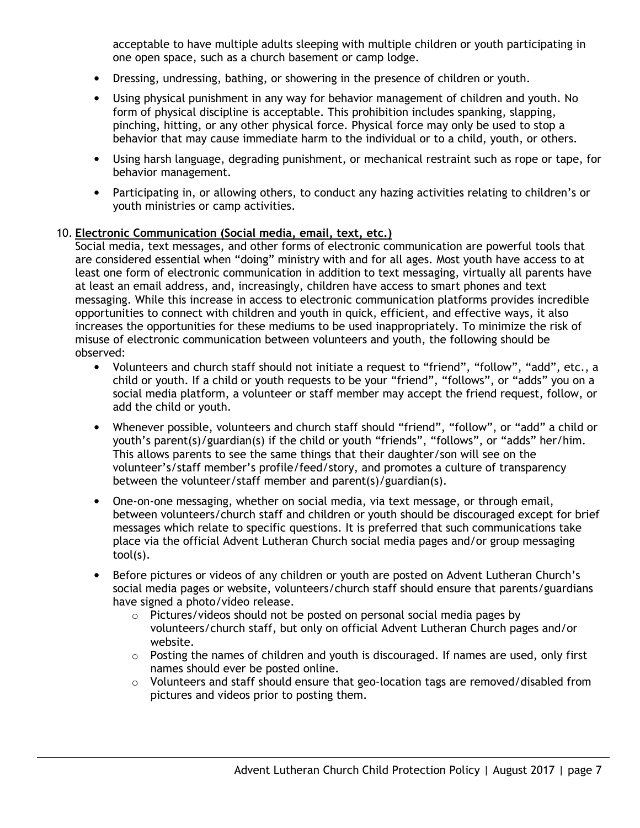acceptable to have multiple adults sleeping with multiple children or youth participating in one open space, such as a church basement or camp lodge.

- Dressing, undressing, bathing, or showering in the presence of children or youth.
- Using physical punishment in any way for behavior management of children and youth. No form of physical discipline is acceptable. This prohibition includes spanking, slapping, pinching, hitting, or any other physical force. Physical force may only be used to stop a behavior that may cause immediate harm to the individual or to a child, youth, or others.
- Using harsh language, degrading punishment, or mechanical restraint such as rope or tape, for behavior management.
- Participating in, or allowing others, to conduct any hazing activities relating to children's or youth ministries or camp activities.

#### 10. **Electronic Communication (Social media, email, text, etc.)**

Social media, text messages, and other forms of electronic communication are powerful tools that are considered essential when "doing" ministry with and for all ages. Most youth have access to at least one form of electronic communication in addition to text messaging, virtually all parents have at least an email address, and, increasingly, children have access to smart phones and text messaging. While this increase in access to electronic communication platforms provides incredible opportunities to connect with children and youth in quick, efficient, and effective ways, it also increases the opportunities for these mediums to be used inappropriately. To minimize the risk of misuse of electronic communication between volunteers and youth, the following should be observed:

- Volunteers and church staff should not initiate a request to "friend", "follow", "add", etc., a child or youth. If a child or youth requests to be your "friend", "follows", or "adds" you on a social media platform, a volunteer or staff member may accept the friend request, follow, or add the child or youth.
- Whenever possible, volunteers and church staff should "friend", "follow", or "add" a child or youth's parent(s)/guardian(s) if the child or youth "friends", "follows", or "adds" her/him. This allows parents to see the same things that their daughter/son will see on the volunteer's/staff member's profile/feed/story, and promotes a culture of transparency between the volunteer/staff member and parent(s)/guardian(s).
- One-on-one messaging, whether on social media, via text message, or through email, between volunteers/church staff and children or youth should be discouraged except for brief messages which relate to specific questions. It is preferred that such communications take place via the official Advent Lutheran Church social media pages and/or group messaging tool(s).
- Before pictures or videos of any children or youth are posted on Advent Lutheran Church's social media pages or website, volunteers/church staff should ensure that parents/guardians have signed a photo/video release.
	- o Pictures/videos should not be posted on personal social media pages by volunteers/church staff, but only on official Advent Lutheran Church pages and/or website.
	- o Posting the names of children and youth is discouraged. If names are used, only first names should ever be posted online.
	- $\circ$  Volunteers and staff should ensure that geo-location tags are removed/disabled from pictures and videos prior to posting them.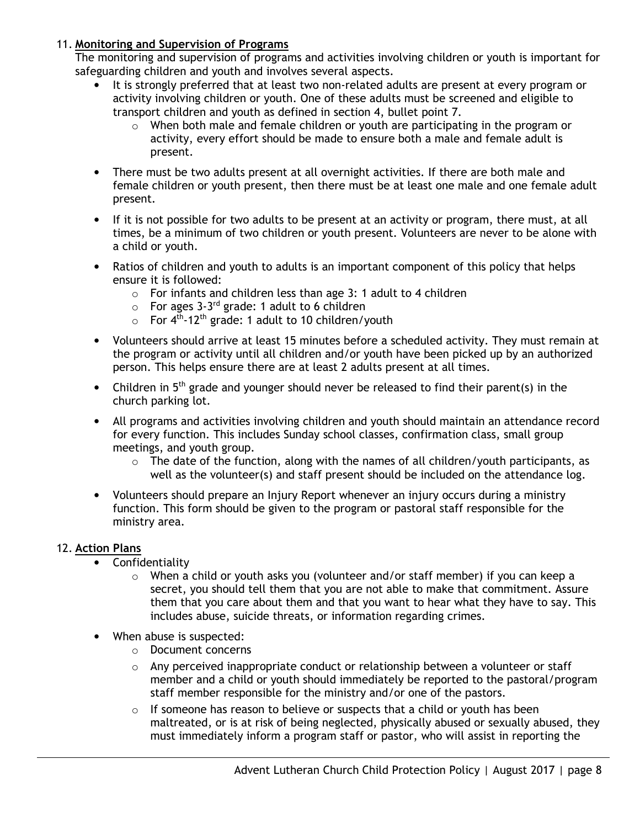#### 11. **Monitoring and Supervision of Programs**

The monitoring and supervision of programs and activities involving children or youth is important for safeguarding children and youth and involves several aspects.

- It is strongly preferred that at least two non-related adults are present at every program or activity involving children or youth. One of these adults must be screened and eligible to transport children and youth as defined in section 4, bullet point 7.
	- $\circ$  When both male and female children or youth are participating in the program or activity, every effort should be made to ensure both a male and female adult is present.
- There must be two adults present at all overnight activities. If there are both male and female children or youth present, then there must be at least one male and one female adult present.
- If it is not possible for two adults to be present at an activity or program, there must, at all times, be a minimum of two children or youth present. Volunteers are never to be alone with a child or youth.
- Ratios of children and youth to adults is an important component of this policy that helps ensure it is followed:
	- o For infants and children less than age 3: 1 adult to 4 children
	- $\circ$  For ages 3-3<sup>rd</sup> grade: 1 adult to 6 children
	- $\circ$  For 4<sup>th</sup>-12<sup>th</sup> grade: 1 adult to 10 children/youth
- Volunteers should arrive at least 15 minutes before a scheduled activity. They must remain at the program or activity until all children and/or youth have been picked up by an authorized person. This helps ensure there are at least 2 adults present at all times.
- Children in  $5<sup>th</sup>$  grade and younger should never be released to find their parent(s) in the church parking lot.
- All programs and activities involving children and youth should maintain an attendance record for every function. This includes Sunday school classes, confirmation class, small group meetings, and youth group.
	- $\circ$  The date of the function, along with the names of all children/youth participants, as well as the volunteer(s) and staff present should be included on the attendance log.
- Volunteers should prepare an Injury Report whenever an injury occurs during a ministry function. This form should be given to the program or pastoral staff responsible for the ministry area.

#### 12. **Action Plans**

- Confidentiality
	- $\circ$  When a child or youth asks you (volunteer and/or staff member) if you can keep a secret, you should tell them that you are not able to make that commitment. Assure them that you care about them and that you want to hear what they have to say. This includes abuse, suicide threats, or information regarding crimes.
- When abuse is suspected:
	- o Document concerns
	- $\circ$  Any perceived inappropriate conduct or relationship between a volunteer or staff member and a child or youth should immediately be reported to the pastoral/program staff member responsible for the ministry and/or one of the pastors.
	- $\circ$  If someone has reason to believe or suspects that a child or youth has been maltreated, or is at risk of being neglected, physically abused or sexually abused, they must immediately inform a program staff or pastor, who will assist in reporting the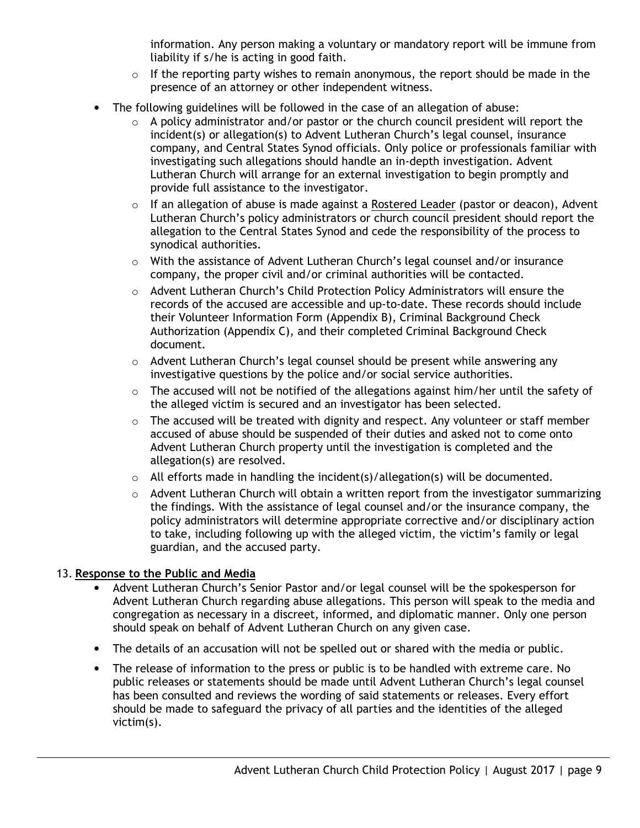information. Any person making a voluntary or mandatory report will be immune from liability if s/he is acting in good faith.

- $\circ$  If the reporting party wishes to remain anonymous, the report should be made in the presence of an attorney or other independent witness.
- The following guidelines will be followed in the case of an allegation of abuse:
	- $\circ$  A policy administrator and/or pastor or the church council president will report the incident(s) or allegation(s) to Advent Lutheran Church's legal counsel, insurance company, and Central States Synod officials. Only police or professionals familiar with investigating such allegations should handle an in-depth investigation. Advent Lutheran Church will arrange for an external investigation to begin promptly and provide full assistance to the investigator.
	- $\circ$  If an allegation of abuse is made against a Rostered Leader (pastor or deacon), Advent Lutheran Church's policy administrators or church council president should report the allegation to the Central States Synod and cede the responsibility of the process to synodical authorities.
	- o With the assistance of Advent Lutheran Church's legal counsel and/or insurance company, the proper civil and/or criminal authorities will be contacted.
	- $\circ$  Advent Lutheran Church's Child Protection Policy Administrators will ensure the records of the accused are accessible and up-to-date. These records should include their Volunteer Information Form (Appendix B), Criminal Background Check Authorization (Appendix C), and their completed Criminal Background Check document.
	- $\circ$  Advent Lutheran Church's legal counsel should be present while answering any investigative questions by the police and/or social service authorities.
	- $\circ$  The accused will not be notified of the allegations against him/her until the safety of the alleged victim is secured and an investigator has been selected.
	- $\circ$  The accused will be treated with dignity and respect. Any volunteer or staff member accused of abuse should be suspended of their duties and asked not to come onto Advent Lutheran Church property until the investigation is completed and the allegation(s) are resolved.
	- $\circ$  All efforts made in handling the incident(s)/allegation(s) will be documented.
	- $\circ$  Advent Lutheran Church will obtain a written report from the investigator summarizing the findings. With the assistance of legal counsel and/or the insurance company, the policy administrators will determine appropriate corrective and/or disciplinary action to take, including following up with the alleged victim, the victim's family or legal guardian, and the accused party.

#### 13. **Response to the Public and Media**

- Advent Lutheran Church's Senior Pastor and/or legal counsel will be the spokesperson for Advent Lutheran Church regarding abuse allegations. This person will speak to the media and congregation as necessary in a discreet, informed, and diplomatic manner. Only one person should speak on behalf of Advent Lutheran Church on any given case.
- The details of an accusation will not be spelled out or shared with the media or public.
- The release of information to the press or public is to be handled with extreme care. No public releases or statements should be made until Advent Lutheran Church's legal counsel has been consulted and reviews the wording of said statements or releases. Every effort should be made to safeguard the privacy of all parties and the identities of the alleged victim(s).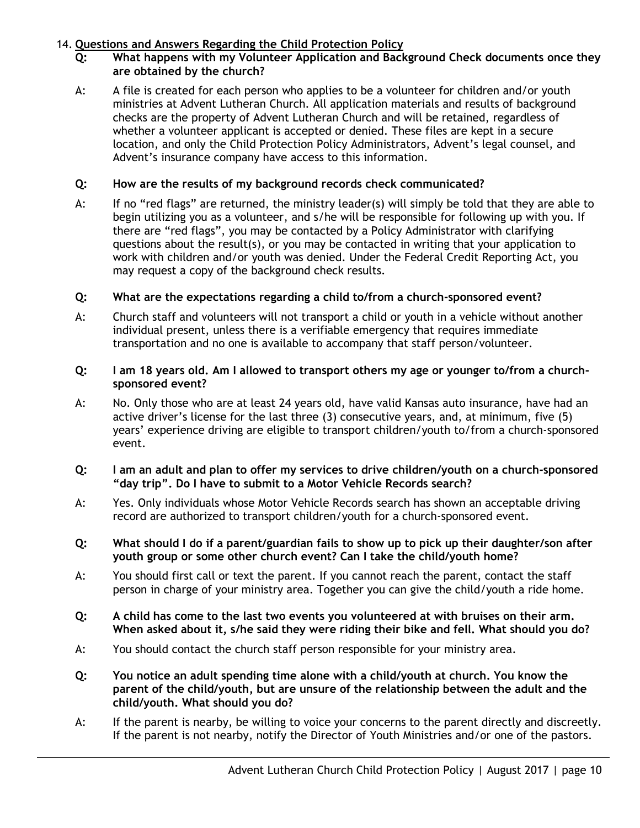#### 14. **Questions and Answers Regarding the Child Protection Policy**

### **Q: What happens with my Volunteer Application and Background Check documents once they are obtained by the church?**

A: A file is created for each person who applies to be a volunteer for children and/or youth ministries at Advent Lutheran Church. All application materials and results of background checks are the property of Advent Lutheran Church and will be retained, regardless of whether a volunteer applicant is accepted or denied. These files are kept in a secure location, and only the Child Protection Policy Administrators, Advent's legal counsel, and Advent's insurance company have access to this information.

## **Q: How are the results of my background records check communicated?**

A: If no "red flags" are returned, the ministry leader(s) will simply be told that they are able to begin utilizing you as a volunteer, and s/he will be responsible for following up with you. If there are "red flags", you may be contacted by a Policy Administrator with clarifying questions about the result(s), or you may be contacted in writing that your application to work with children and/or youth was denied. Under the Federal Credit Reporting Act, you may request a copy of the background check results.

### **Q: What are the expectations regarding a child to/from a church-sponsored event?**

A: Church staff and volunteers will not transport a child or youth in a vehicle without another individual present, unless there is a verifiable emergency that requires immediate transportation and no one is available to accompany that staff person/volunteer.

#### **Q: I am 18 years old. Am I allowed to transport others my age or younger to/from a churchsponsored event?**

A: No. Only those who are at least 24 years old, have valid Kansas auto insurance, have had an active driver's license for the last three (3) consecutive years, and, at minimum, five (5) years' experience driving are eligible to transport children/youth to/from a church-sponsored event.

#### **Q: I am an adult and plan to offer my services to drive children/youth on a church-sponsored "day trip". Do I have to submit to a Motor Vehicle Records search?**

- A: Yes. Only individuals whose Motor Vehicle Records search has shown an acceptable driving record are authorized to transport children/youth for a church-sponsored event.
- **Q: What should I do if a parent/guardian fails to show up to pick up their daughter/son after youth group or some other church event? Can I take the child/youth home?**
- A: You should first call or text the parent. If you cannot reach the parent, contact the staff person in charge of your ministry area. Together you can give the child/youth a ride home.
- **Q: A child has come to the last two events you volunteered at with bruises on their arm. When asked about it, s/he said they were riding their bike and fell. What should you do?**
- A: You should contact the church staff person responsible for your ministry area.
- **Q: You notice an adult spending time alone with a child/youth at church. You know the parent of the child/youth, but are unsure of the relationship between the adult and the child/youth. What should you do?**
- A: If the parent is nearby, be willing to voice your concerns to the parent directly and discreetly. If the parent is not nearby, notify the Director of Youth Ministries and/or one of the pastors.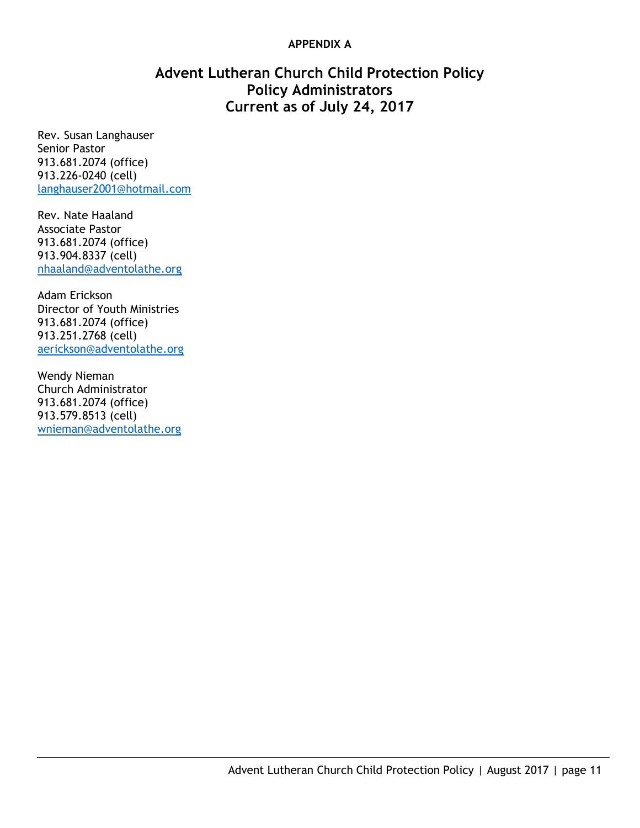#### **APPENDIX A**

## **Advent Lutheran Church Child Protection Policy Policy Administrators Current as of July 24, 2017**

Rev. Susan Langhauser Senior Pastor 913.681.2074 (office) 913.226-0240 (cell) langhauser2001@hotmail.com

Rev. Nate Haaland Associate Pastor 913.681.2074 (office) 913.904.8337 (cell) nhaaland@adventolathe.org

Adam Erickson Director of Youth Ministries 913.681.2074 (office) 913.251.2768 (cell) aerickson@adventolathe.org

Wendy Nieman Church Administrator 913.681.2074 (office) 913.579.8513 (cell) wnieman@adventolathe.org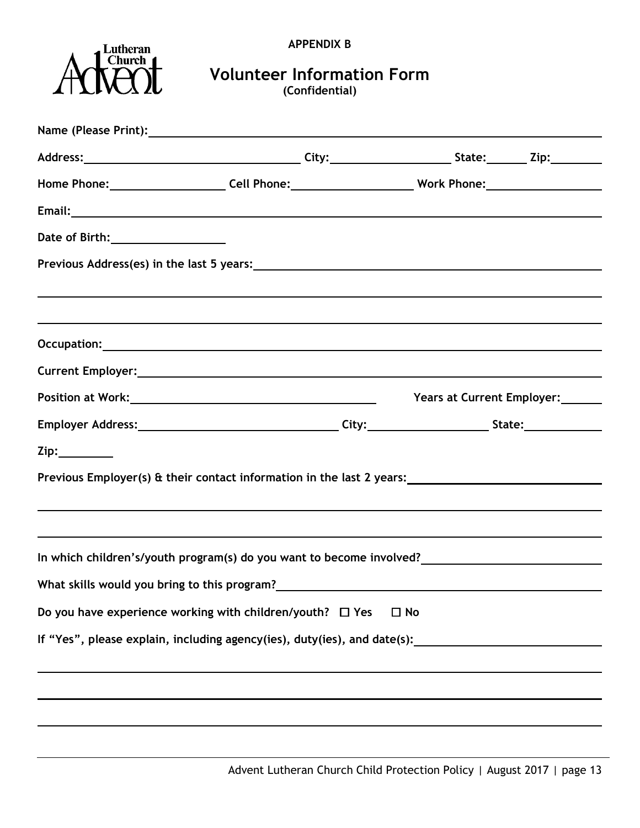

**APPENDIX B** 

# Lutheran<br>
Church<br> **CANT** Volunteer Information Form

 **(Confidential)**

|                                        | Address: 21p: 21p:                                                                                                                                                                                                                                                                                                         |           |  |
|----------------------------------------|----------------------------------------------------------------------------------------------------------------------------------------------------------------------------------------------------------------------------------------------------------------------------------------------------------------------------|-----------|--|
|                                        | Home Phone:________________________Cell Phone:__________________________________ Work Phone:__________________                                                                                                                                                                                                             |           |  |
|                                        |                                                                                                                                                                                                                                                                                                                            |           |  |
| Date of Birth: _______________________ |                                                                                                                                                                                                                                                                                                                            |           |  |
|                                        | Previous Address(es) in the last 5 years:<br><u> and the contract of the contract of the set of the set of the set of the set of the set of the set of the set of the set of the set of the set of the set of the set of the set o</u><br>,我们也不会有什么。""我们的人,我们也不会有什么?""我们的人,我们也不会有什么?""我们的人,我们也不会有什么?""我们的人,我们也不会有什么?""我们的人 |           |  |
|                                        | ,我们也不会有什么。""我们的人,我们也不会有什么?""我们的人,我们也不会有什么?""我们的人,我们也不会有什么?""我们的人,我们也不会有什么?""我们的人<br>Occupation: New York Contract to the Contract of the Contract of the Contract of the Contract of the Contract of the Contract of the Contract of the Contract of the Contract of the Contract of the Contract of the Contract          |           |  |
|                                        |                                                                                                                                                                                                                                                                                                                            |           |  |
|                                        |                                                                                                                                                                                                                                                                                                                            |           |  |
|                                        |                                                                                                                                                                                                                                                                                                                            |           |  |
|                                        |                                                                                                                                                                                                                                                                                                                            |           |  |
|                                        |                                                                                                                                                                                                                                                                                                                            |           |  |
|                                        | ,我们也不会有什么。""我们的人,我们也不会有什么?""我们的人,我们也不会有什么?""我们的人,我们也不会有什么?""我们的人,我们也不会有什么?""我们的人                                                                                                                                                                                                                                           |           |  |
|                                        |                                                                                                                                                                                                                                                                                                                            |           |  |
|                                        | What skills would you bring to this program?<br><u> What skills would you bring to this program?</u>                                                                                                                                                                                                                       |           |  |
|                                        | Do you have experience working with children/youth? $\Box$ Yes                                                                                                                                                                                                                                                             | $\Box$ No |  |
|                                        |                                                                                                                                                                                                                                                                                                                            |           |  |
|                                        |                                                                                                                                                                                                                                                                                                                            |           |  |
|                                        |                                                                                                                                                                                                                                                                                                                            |           |  |
|                                        |                                                                                                                                                                                                                                                                                                                            |           |  |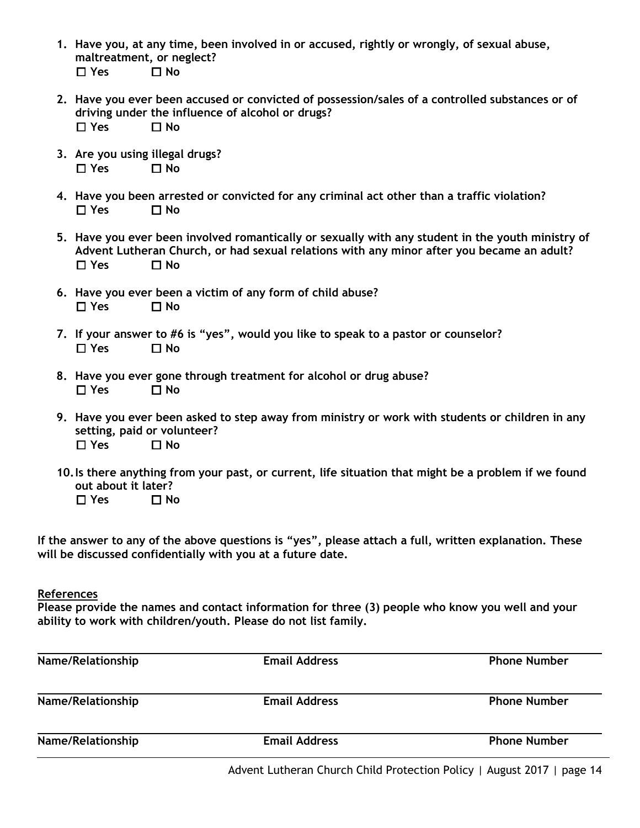- **1. Have you, at any time, been involved in or accused, rightly or wrongly, of sexual abuse, maltreatment, or neglect?**  ☐ **Yes** ☐ **No**
- **2. Have you ever been accused or convicted of possession/sales of a controlled substances or of driving under the influence of alcohol or drugs?**  ☐ **Yes** ☐ **No**
- **3. Are you using illegal drugs?**  ☐ **Yes** ☐ **No**
- **4. Have you been arrested or convicted for any criminal act other than a traffic violation?**  ☐ **Yes** ☐ **No**
- **5. Have you ever been involved romantically or sexually with any student in the youth ministry of Advent Lutheran Church, or had sexual relations with any minor after you became an adult?**  ☐ **Yes** ☐ **No**
- **6. Have you ever been a victim of any form of child abuse?**  ☐ **Yes** ☐ **No**
- **7. If your answer to #6 is "yes", would you like to speak to a pastor or counselor?**  ☐ **Yes** ☐ **No**
- **8. Have you ever gone through treatment for alcohol or drug abuse?**  ☐ **Yes** ☐ **No**
- **9. Have you ever been asked to step away from ministry or work with students or children in any setting, paid or volunteer?**  ☐ **Yes** ☐ **No**
- **10.Is there anything from your past, or current, life situation that might be a problem if we found out about it later?**

☐ **Yes** ☐ **No** 

**If the answer to any of the above questions is "yes", please attach a full, written explanation. These will be discussed confidentially with you at a future date.** 

#### **References**

**Please provide the names and contact information for three (3) people who know you well and your ability to work with children/youth. Please do not list family.** 

| Name/Relationship | <b>Email Address</b> | <b>Phone Number</b> |
|-------------------|----------------------|---------------------|
| Name/Relationship | <b>Email Address</b> | <b>Phone Number</b> |
| Name/Relationship | <b>Email Address</b> | <b>Phone Number</b> |

Advent Lutheran Church Child Protection Policy | August 2017 | page 14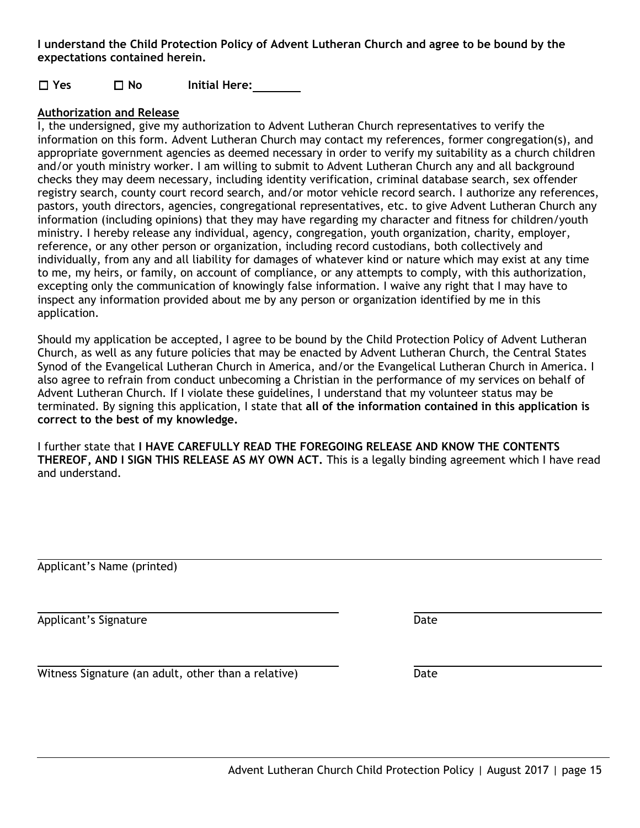**I understand the Child Protection Policy of Advent Lutheran Church and agree to be bound by the expectations contained herein.** 

☐ **Yes** ☐ **No Initial Here:** 

#### **Authorization and Release**

I, the undersigned, give my authorization to Advent Lutheran Church representatives to verify the information on this form. Advent Lutheran Church may contact my references, former congregation(s), and appropriate government agencies as deemed necessary in order to verify my suitability as a church children and/or youth ministry worker. I am willing to submit to Advent Lutheran Church any and all background checks they may deem necessary, including identity verification, criminal database search, sex offender registry search, county court record search, and/or motor vehicle record search. I authorize any references, pastors, youth directors, agencies, congregational representatives, etc. to give Advent Lutheran Church any information (including opinions) that they may have regarding my character and fitness for children/youth ministry. I hereby release any individual, agency, congregation, youth organization, charity, employer, reference, or any other person or organization, including record custodians, both collectively and individually, from any and all liability for damages of whatever kind or nature which may exist at any time to me, my heirs, or family, on account of compliance, or any attempts to comply, with this authorization, excepting only the communication of knowingly false information. I waive any right that I may have to inspect any information provided about me by any person or organization identified by me in this application.

Should my application be accepted, I agree to be bound by the Child Protection Policy of Advent Lutheran Church, as well as any future policies that may be enacted by Advent Lutheran Church, the Central States Synod of the Evangelical Lutheran Church in America, and/or the Evangelical Lutheran Church in America. I also agree to refrain from conduct unbecoming a Christian in the performance of my services on behalf of Advent Lutheran Church. If I violate these guidelines, I understand that my volunteer status may be terminated. By signing this application, I state that **all of the information contained in this application is correct to the best of my knowledge.**

I further state that **I HAVE CAREFULLY READ THE FOREGOING RELEASE AND KNOW THE CONTENTS THEREOF, AND I SIGN THIS RELEASE AS MY OWN ACT.** This is a legally binding agreement which I have read and understand.

| Applicant's Name (printed) |      |  |
|----------------------------|------|--|
| Applicant's Signature      | Date |  |

Witness Signature (an adult, other than a relative) and the state Date

 $\overline{a}$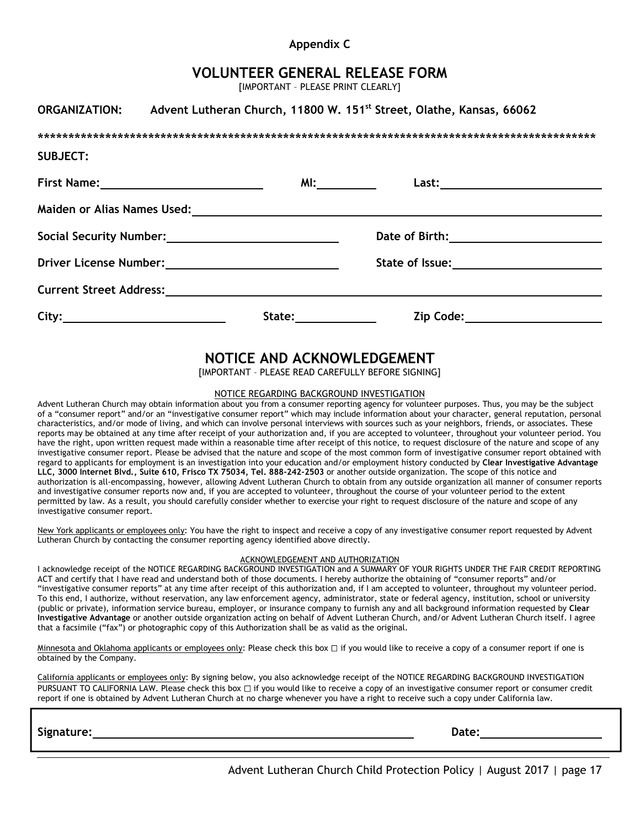#### **Appendix C**

## **VOLUNTEER GENERAL RELEASE FORM**

[IMPORTANT – PLEASE PRINT CLEARLY]

#### **ORGANIZATION: Advent Lutheran Church, 11800 W. 151st Street, Olathe, Kansas, 66062**

\*\*\*\*\*\*\*\*\*\*\*\*\*\*\*\*\*\*\*\*\*\*\*\*\*\*\*\*\*\*\*\*\*\*\*\*\*\*\*\*\*\*\*\*\*\*\*\*\*\*\*\*\*\*\*\*\*\*\*\*\*\*\*\*\*\*\*\*\*\*\*\*\*\*\*\*\*\*\*\*\*\*\*\*\*\*\*\*\*\*\*

| JUDJLLI.                                                                                                                                                                                                                       |                                                                                                                                                                                                                                |                                   |  |
|--------------------------------------------------------------------------------------------------------------------------------------------------------------------------------------------------------------------------------|--------------------------------------------------------------------------------------------------------------------------------------------------------------------------------------------------------------------------------|-----------------------------------|--|
|                                                                                                                                                                                                                                | MI: and the same of the same of the same of the same of the same of the same of the same of the same of the same of the same of the same of the same of the same of the same of the same of the same of the same of the same o | Last: _________________________   |  |
| Maiden or Alias Names Used: University of the Community of the Community of the Community of the Community of the Community of the Community of the Community of the Community of the Community of the Community of the Commun |                                                                                                                                                                                                                                |                                   |  |
| Social Security Number:<br><u> </u>                                                                                                                                                                                            |                                                                                                                                                                                                                                |                                   |  |
|                                                                                                                                                                                                                                |                                                                                                                                                                                                                                |                                   |  |
|                                                                                                                                                                                                                                |                                                                                                                                                                                                                                |                                   |  |
|                                                                                                                                                                                                                                | State:______________                                                                                                                                                                                                           | Zip Code: _______________________ |  |
|                                                                                                                                                                                                                                |                                                                                                                                                                                                                                |                                   |  |

## **NOTICE AND ACKNOWLEDGEMENT**

[IMPORTANT – PLEASE READ CAREFULLY BEFORE SIGNING]

#### NOTICE REGARDING BACKGROUND INVESTIGATION

Advent Lutheran Church may obtain information about you from a consumer reporting agency for volunteer purposes. Thus, you may be the subject of a "consumer report" and/or an "investigative consumer report" which may include information about your character, general reputation, personal characteristics, and/or mode of living, and which can involve personal interviews with sources such as your neighbors, friends, or associates. These reports may be obtained at any time after receipt of your authorization and, if you are accepted to volunteer, throughout your volunteer period. You have the right, upon written request made within a reasonable time after receipt of this notice, to request disclosure of the nature and scope of any investigative consumer report. Please be advised that the nature and scope of the most common form of investigative consumer report obtained with regard to applicants for employment is an investigation into your education and/or employment history conducted by **Clear Investigative Advantage LLC, 3000 Internet Blvd., Suite 610, Frisco TX 75034, Tel. 888-242-2503** or another outside organization. The scope of this notice and authorization is all-encompassing, however, allowing Advent Lutheran Church to obtain from any outside organization all manner of consumer reports and investigative consumer reports now and, if you are accepted to volunteer, throughout the course of your volunteer period to the extent permitted by law. As a result, you should carefully consider whether to exercise your right to request disclosure of the nature and scope of any investigative consumer report.

New York applicants or employees only: You have the right to inspect and receive a copy of any investigative consumer report requested by Advent Lutheran Church by contacting the consumer reporting agency identified above directly.

#### ACKNOWLEDGEMENT AND AUTHORIZATION

I acknowledge receipt of the NOTICE REGARDING BACKGROUND INVESTIGATION and A SUMMARY OF YOUR RIGHTS UNDER THE FAIR CREDIT REPORTING ACT and certify that I have read and understand both of those documents. I hereby authorize the obtaining of "consumer reports" and/or "investigative consumer reports" at any time after receipt of this authorization and, if I am accepted to volunteer, throughout my volunteer period. To this end, I authorize, without reservation, any law enforcement agency, administrator, state or federal agency, institution, school or university (public or private), information service bureau, employer, or insurance company to furnish any and all background information requested by **Clear Investigative Advantage** or another outside organization acting on behalf of Advent Lutheran Church, and/or Advent Lutheran Church itself. I agree that a facsimile ("fax") or photographic copy of this Authorization shall be as valid as the original.

Minnesota and Oklahoma applicants or employees only: Please check this box □ if you would like to receive a copy of a consumer report if one is obtained by the Company.

California applicants or employees only: By signing below, you also acknowledge receipt of the NOTICE REGARDING BACKGROUND INVESTIGATION PURSUANT TO CALIFORNIA LAW. Please check this box □ if you would like to receive a copy of an investigative consumer report or consumer credit report if one is obtained by Advent Lutheran Church at no charge whenever you have a right to receive such a copy under California law.

**Signature:** Date: **Date:** Date: **Date: Date: Date: Date: Date: Date: Date: Date: Date: Date: Date: Date: Date: Date: Date: Date: Date: Date: Date: Date: Date: Date: Date: Date** 

**SUBJECT:** 

Advent Lutheran Church Child Protection Policy | August 2017 | page 17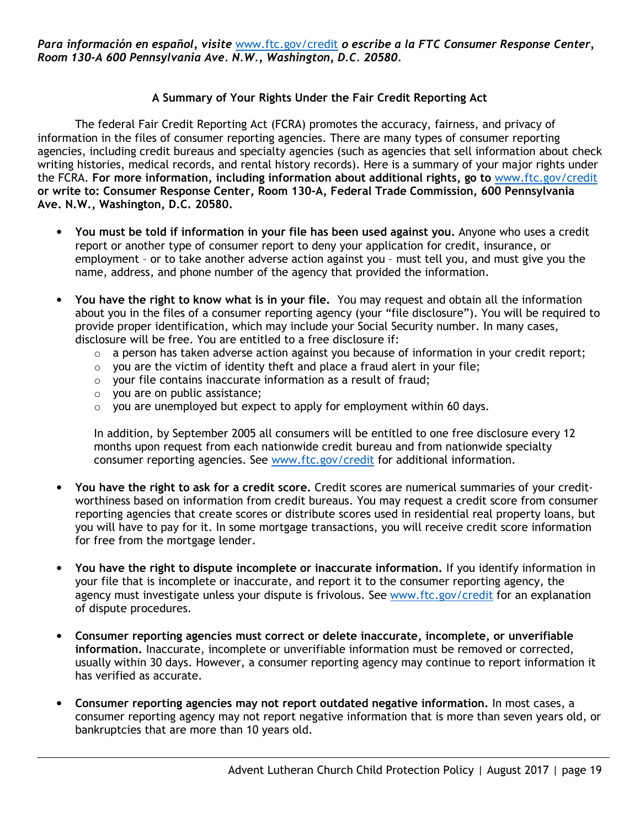*Para información en español, visite* www.ftc.gov/credit *o escribe a la FTC Consumer Response Center, Room 130-A 600 Pennsylvania Ave. N.W., Washington, D.C. 20580.* 

### **A Summary of Your Rights Under the Fair Credit Reporting Act**

 The federal Fair Credit Reporting Act (FCRA) promotes the accuracy, fairness, and privacy of information in the files of consumer reporting agencies. There are many types of consumer reporting agencies, including credit bureaus and specialty agencies (such as agencies that sell information about check writing histories, medical records, and rental history records). Here is a summary of your major rights under the FCRA. **For more information, including information about additional rights, go to** www.ftc.gov/credit **or write to: Consumer Response Center, Room 130-A, Federal Trade Commission, 600 Pennsylvania Ave. N.W., Washington, D.C. 20580.** 

- **You must be told if information in your file has been used against you.** Anyone who uses a credit report or another type of consumer report to deny your application for credit, insurance, or employment – or to take another adverse action against you – must tell you, and must give you the name, address, and phone number of the agency that provided the information.
- **You have the right to know what is in your file.** You may request and obtain all the information about you in the files of a consumer reporting agency (your "file disclosure"). You will be required to provide proper identification, which may include your Social Security number. In many cases, disclosure will be free. You are entitled to a free disclosure if:
	- $\circ$  a person has taken adverse action against you because of information in your credit report;
	- $\circ$  vou are the victim of identity theft and place a fraud alert in your file;
	- o your file contains inaccurate information as a result of fraud;
	- o you are on public assistance;
	- $\circ$  you are unemployed but expect to apply for employment within 60 days.

In addition, by September 2005 all consumers will be entitled to one free disclosure every 12 months upon request from each nationwide credit bureau and from nationwide specialty consumer reporting agencies. See www.ftc.gov/credit for additional information.

- **You have the right to ask for a credit score.** Credit scores are numerical summaries of your creditworthiness based on information from credit bureaus. You may request a credit score from consumer reporting agencies that create scores or distribute scores used in residential real property loans, but you will have to pay for it. In some mortgage transactions, you will receive credit score information for free from the mortgage lender.
- **You have the right to dispute incomplete or inaccurate information.** If you identify information in your file that is incomplete or inaccurate, and report it to the consumer reporting agency, the agency must investigate unless your dispute is frivolous. See www.ftc.gov/credit for an explanation of dispute procedures.
- **Consumer reporting agencies must correct or delete inaccurate, incomplete, or unverifiable information.** Inaccurate, incomplete or unverifiable information must be removed or corrected, usually within 30 days. However, a consumer reporting agency may continue to report information it has verified as accurate.
- **Consumer reporting agencies may not report outdated negative information.** In most cases, a consumer reporting agency may not report negative information that is more than seven years old, or bankruptcies that are more than 10 years old.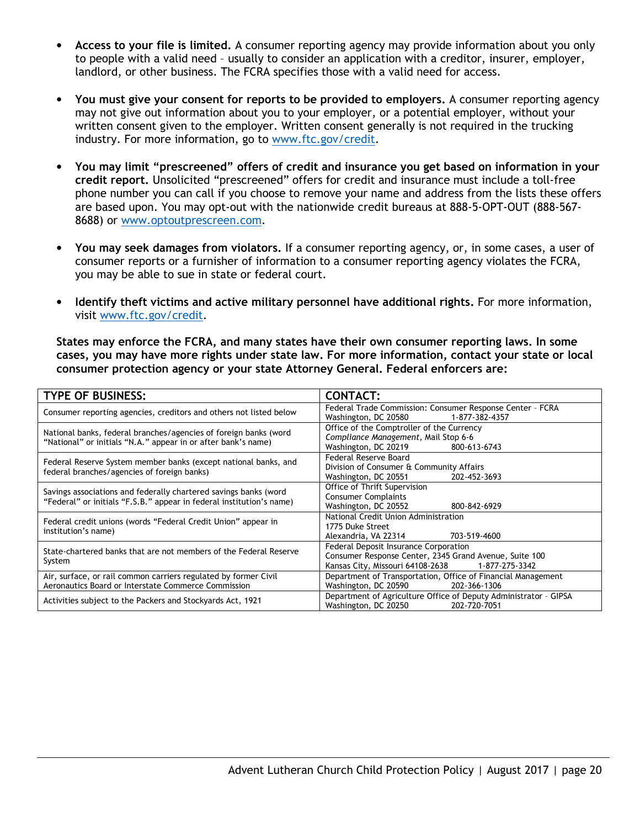- **Access to your file is limited.** A consumer reporting agency may provide information about you only to people with a valid need – usually to consider an application with a creditor, insurer, employer, landlord, or other business. The FCRA specifies those with a valid need for access.
- **You must give your consent for reports to be provided to employers.** A consumer reporting agency may not give out information about you to your employer, or a potential employer, without your written consent given to the employer. Written consent generally is not required in the trucking industry. For more information, go to www.ftc.gov/credit.
- **You may limit "prescreened" offers of credit and insurance you get based on information in your credit report.** Unsolicited "prescreened" offers for credit and insurance must include a toll-free phone number you can call if you choose to remove your name and address from the lists these offers are based upon. You may opt-out with the nationwide credit bureaus at 888-5-OPT-OUT (888-567- 8688) or www.optoutprescreen.com.
- **You may seek damages from violators.** If a consumer reporting agency, or, in some cases, a user of consumer reports or a furnisher of information to a consumer reporting agency violates the FCRA, you may be able to sue in state or federal court.
- **Identify theft victims and active military personnel have additional rights.** For more information, visit www.ftc.gov/credit.

**States may enforce the FCRA, and many states have their own consumer reporting laws. In some cases, you may have more rights under state law. For more information, contact your state or local consumer protection agency or your state Attorney General. Federal enforcers are:** 

| <b>TYPE OF BUSINESS:</b>                                                                                                                 | <b>CONTACT:</b>                                                                                                                                    |  |  |
|------------------------------------------------------------------------------------------------------------------------------------------|----------------------------------------------------------------------------------------------------------------------------------------------------|--|--|
| Consumer reporting agencies, creditors and others not listed below                                                                       | Federal Trade Commission: Consumer Response Center - FCRA<br>Washington, DC 20580 1-877-382-4357                                                   |  |  |
| National banks, federal branches/agencies of foreign banks (word<br>"National" or initials "N.A." appear in or after bank's name)        | Office of the Comptroller of the Currency<br>Compliance Management, Mail Stop 6-6<br>Washington, DC 20219<br>800-613-6743                          |  |  |
| Federal Reserve System member banks (except national banks, and<br>federal branches/agencies of foreign banks)                           | Federal Reserve Board<br>Division of Consumer & Community Affairs<br>Washington, DC 20551 202-452-3693                                             |  |  |
| Savings associations and federally chartered savings banks (word<br>"Federal" or initials "F.S.B." appear in federal institution's name) | Office of Thrift Supervision<br><b>Consumer Complaints</b><br>Washington, DC 20552<br>800-842-6929                                                 |  |  |
| Federal credit unions (words "Federal Credit Union" appear in<br>institution's name)                                                     | National Credit Union Administration<br>1775 Duke Street<br>Alexandria, VA 22314 703-519-4600                                                      |  |  |
| State-chartered banks that are not members of the Federal Reserve<br>System                                                              | Federal Deposit Insurance Corporation<br>Consumer Response Center, 2345 Grand Avenue, Suite 100<br>Kansas City, Missouri 64108-2638 1-877-275-3342 |  |  |
| Air, surface, or rail common carriers regulated by former Civil<br>Aeronautics Board or Interstate Commerce Commission                   | Department of Transportation, Office of Financial Management<br>Washington, DC 20590 202-366-1306                                                  |  |  |
| Activities subject to the Packers and Stockyards Act, 1921                                                                               | Department of Agriculture Office of Deputy Administrator - GIPSA<br>Washington, DC 20250<br>202-720-7051                                           |  |  |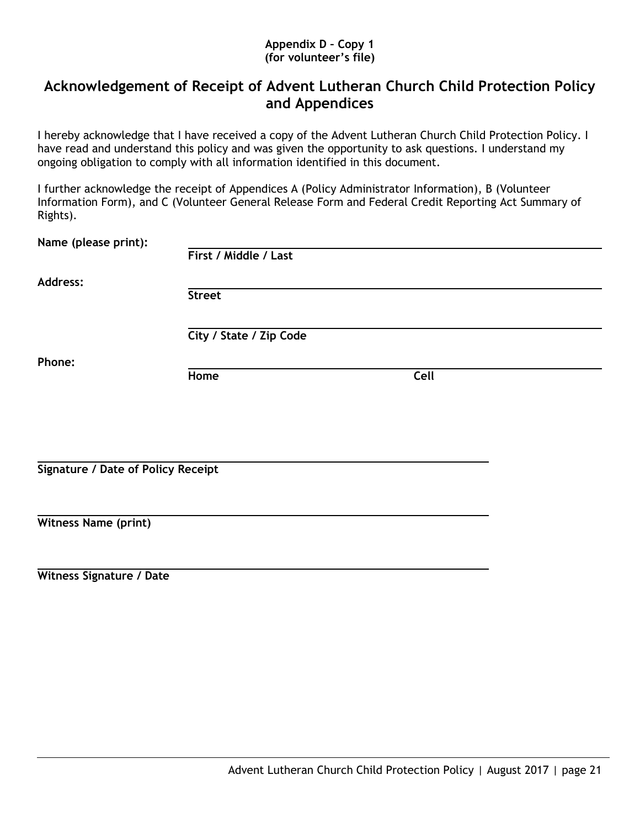#### **Appendix D – Copy 1 (for volunteer's file)**

## **Acknowledgement of Receipt of Advent Lutheran Church Child Protection Policy and Appendices**

I hereby acknowledge that I have received a copy of the Advent Lutheran Church Child Protection Policy. I have read and understand this policy and was given the opportunity to ask questions. I understand my ongoing obligation to comply with all information identified in this document.

I further acknowledge the receipt of Appendices A (Policy Administrator Information), B (Volunteer Information Form), and C (Volunteer General Release Form and Federal Credit Reporting Act Summary of Rights).

| Name (please print):               |                         |      |  |
|------------------------------------|-------------------------|------|--|
|                                    | First / Middle / Last   |      |  |
| <b>Address:</b>                    |                         |      |  |
|                                    | <b>Street</b>           |      |  |
|                                    | City / State / Zip Code |      |  |
| Phone:                             |                         |      |  |
|                                    | Home                    | Cell |  |
|                                    |                         |      |  |
|                                    |                         |      |  |
|                                    |                         |      |  |
| Signature / Date of Policy Receipt |                         |      |  |
|                                    |                         |      |  |
| <b>Witness Name (print)</b>        |                         |      |  |
|                                    |                         |      |  |
|                                    |                         |      |  |

**Witness Signature / Date**